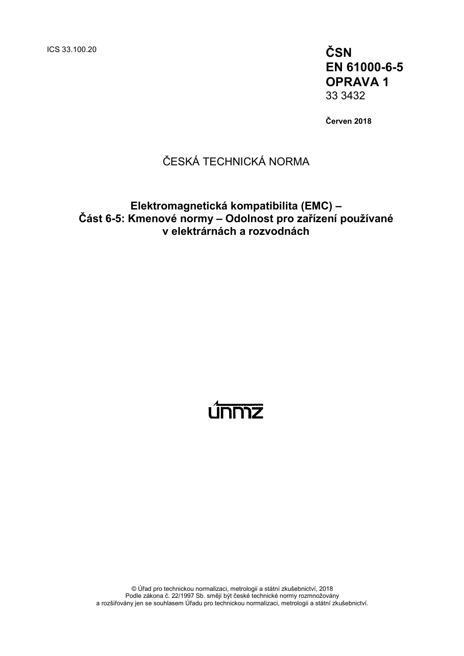ICS 33.100.20 **ČSN**

**EN 61000-6-5 OPRAVA 1** 33 3432

**Červen 2018**

### ČESKÁ TECHNICKÁ NORMA

### **Elektromagnetická kompatibilita (EMC) – Část 6-5: Kmenové normy – Odolnost pro zařízení používané v elektrárnách a rozvodnách**

# <u>únniz</u>

© Úřad pro technickou normalizaci, metrologii a státní zkušebnictví, 2018 Podle zákona č. 22/1997 Sb. smějí být české technické normy rozmnožovány a rozšiřovány jen se souhlasem Úřadu pro technickou normalizaci, metrologii a státní zkušebnictví.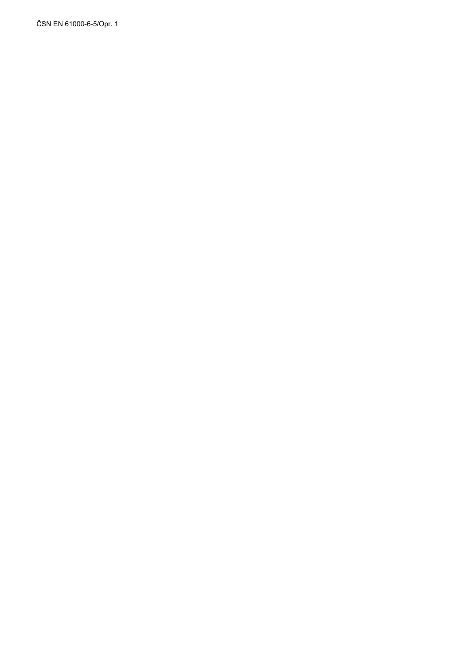ČSN EN 61000-6-5/Opr. 1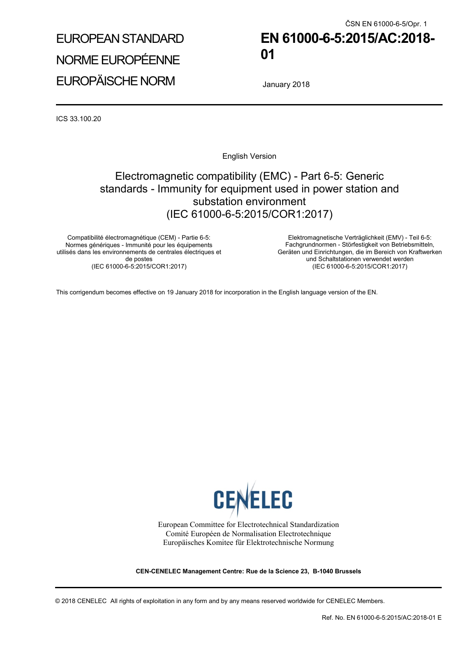#### ČSN EN 61000-6-5/Opr. 1

# EUROPEAN STANDARD NORME EUROPÉENNE EUROPÄISCHE NORM

# **EN 61000-6-5:2015/AC:2018- 01**

January 2018

ICS 33.100.20

English Version

### Electromagnetic compatibility (EMC) - Part 6-5: Generic standards - Immunity for equipment used in power station and substation environment (IEC 61000-6-5:2015/COR1:2017)

Compatibilité électromagnétique (CEM) - Partie 6-5: Normes génériques - Immunité pour les équipements utilisés dans les environnements de centrales électriques et de postes (IEC 61000-6-5:2015/COR1:2017)

 Elektromagnetische Verträglichkeit (EMV) - Teil 6-5: Fachgrundnormen - Störfestigkeit von Betriebsmitteln, Geräten und Einrichtungen, die im Bereich von Kraftwerken und Schaltstationen verwendet werden (IEC 61000-6-5:2015/COR1:2017)

This corrigendum becomes effective on 19 January 2018 for incorporation in the English language version of the EN.



European Committee for Electrotechnical Standardization Comité Européen de Normalisation Electrotechnique Europäisches Komitee für Elektrotechnische Normung

**CEN-CENELEC Management Centre: Rue de la Science 23, B-1040 Brussels** 

© 2018 CENELEC All rights of exploitation in any form and by any means reserved worldwide for CENELEC Members.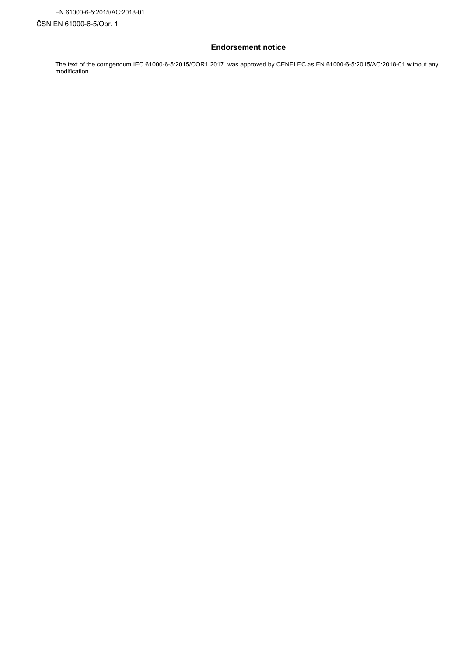EN 61000-6-5:2015/AC:2018-01

ČSN EN 61000-6-5/Opr. 1

#### **Endorsement notice**

The text of the corrigendum IEC 61000-6-5:2015/COR1:2017 was approved by CENELEC as EN 61000-6-5:2015/AC:2018-01 without any modification.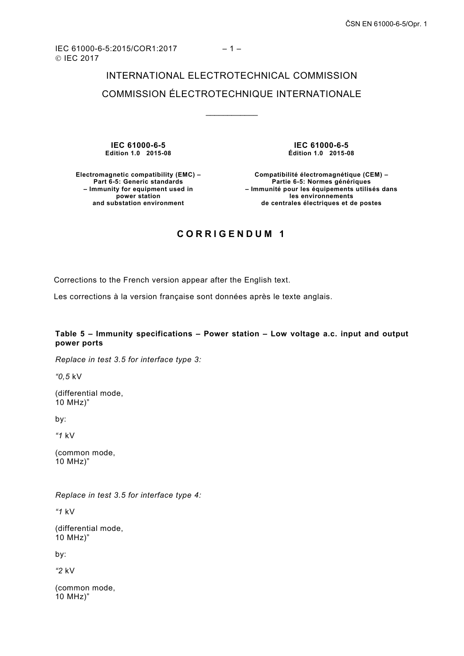$IEC 61000-6-5:2015/COR1:2017$  - 1 – © IEC 2017

## INTERNATIONAL ELECTROTECHNICAL COMMISSION COMMISSION ÉLECTROTECHNIQUE INTERNATIONALE

\_\_\_\_\_\_\_\_\_\_\_\_

**IEC 61000-6-5 Edition 1.0 2015-08**

**IEC 61000-6-5 Édition 1.0 2015-08**

**Electromagnetic compatibility (EMC) – Part 6-5: Generic standards power station and substation environment**

**– Immunity for equipment used in – Immunité pour les équipements utilisés dans Compatibilité électromagnétique (CEM) – Partie 6-5: Normes génériques les environnements de centrales électriques et de postes**

#### **CORRIGENDUM 1**

Corrections to the French version appear after the English text.

Les corrections à la version française sont données après le texte anglais.

#### **Table 5 – Immunity specifications – Power station – Low voltage a.c. input and output power ports**

*Replace in test 3.5 for interface type 3:*

*"0,5* kV

(differential mode, 10 MHz)"

by:

*"1* kV

(common mode, 10 MHz)"

*Replace in test 3.5 for interface type 4:*

*"1* kV

(differential mode, 10 MHz)"

by:

*"2* kV

(common mode, 10 MHz)"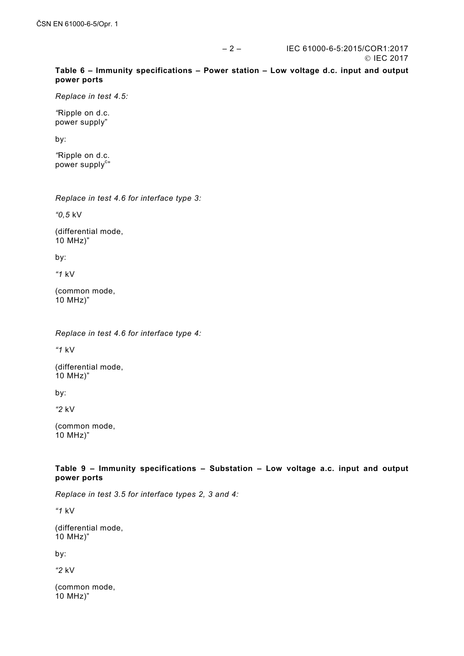**Table 6 – Immunity specifications – Power station – Low voltage d.c. input and output power ports**

*Replace in test 4.5:*

*"*Ripple on d.c. power supply"

by:

*"*Ripple on d.c. power supply<sup>c</sup>"

*Replace in test 4.6 for interface type 3:*

*"0,5* kV

(differential mode, 10 MHz)"

by:

*"1* kV

(common mode, 10 MHz)"

*Replace in test 4.6 for interface type 4:*

*"1* kV

(differential mode, 10 MHz)"

by:

*"2* kV

(common mode, 10 MHz)"

**Table 9 – Immunity specifications – Substation – Low voltage a.c. input and output power ports**

*Replace in test 3.5 for interface types 2, 3 and 4:*

*"1* kV

(differential mode, 10 MHz)"

by:

*"2* kV

(common mode, 10 MHz)"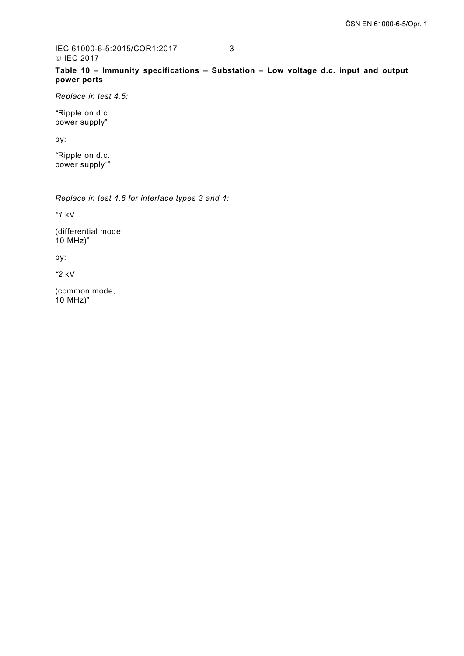IEC 61000-6-5:2015/COR1:2017 – 3 – © IEC 2017

**Table 10 – Immunity specifications – Substation – Low voltage d.c. input and output power ports**

*Replace in test 4.5:*

*"*Ripple on d.c*.* power supply"

by:

*"*Ripple on d.c. power supply<sup>c</sup>"

*Replace in test 4.6 for interface types 3 and 4:*

*"1* kV

(differential mode, 10 MHz)"

by:

*"2* kV

(common mode, 10 MHz)"